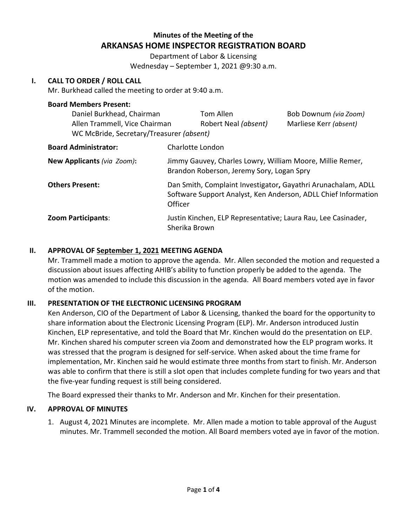# **Minutes of the Meeting of the ARKANSAS HOME INSPECTOR REGISTRATION BOARD**

Department of Labor & Licensing Wednesday – September 1, 2021 @9:30 a.m.

### **I. CALL TO ORDER / ROLL CALL**

Mr. Burkhead called the meeting to order at 9:40 a.m.

#### **Board Members Present:**

| Daniel Burkhead, Chairman<br>Allen Trammell, Vice Chairman<br>WC McBride, Secretary/Treasurer (absent) | Tom Allen<br>Robert Neal (absent)                                                                      | Bob Downum (via Zoom)<br>Marliese Kerr (absent)                                                                                 |  |
|--------------------------------------------------------------------------------------------------------|--------------------------------------------------------------------------------------------------------|---------------------------------------------------------------------------------------------------------------------------------|--|
| <b>Board Administrator:</b>                                                                            | Charlotte London                                                                                       |                                                                                                                                 |  |
| New Applicants (via Zoom):                                                                             | Jimmy Gauvey, Charles Lowry, William Moore, Millie Remer,<br>Brandon Roberson, Jeremy Sory, Logan Spry |                                                                                                                                 |  |
| <b>Others Present:</b>                                                                                 | Officer                                                                                                | Dan Smith, Complaint Investigator, Gayathri Arunachalam, ADLL<br>Software Support Analyst, Ken Anderson, ADLL Chief Information |  |

### **Zoom Participants**: Justin Kinchen, ELP Representative; Laura Rau, Lee Casinader, Sherika Brown

### **II. APPROVAL OF September 1, 2021 MEETING AGENDA**

Mr. Trammell made a motion to approve the agenda. Mr. Allen seconded the motion and requested a discussion about issues affecting AHIB's ability to function properly be added to the agenda. The motion was amended to include this discussion in the agenda. All Board members voted aye in favor of the motion.

### **III. PRESENTATION OF THE ELECTRONIC LICENSING PROGRAM**

Ken Anderson, CIO of the Department of Labor & Licensing, thanked the board for the opportunity to share information about the Electronic Licensing Program (ELP). Mr. Anderson introduced Justin Kinchen, ELP representative, and told the Board that Mr. Kinchen would do the presentation on ELP. Mr. Kinchen shared his computer screen via Zoom and demonstrated how the ELP program works. It was stressed that the program is designed for self-service. When asked about the time frame for implementation, Mr. Kinchen said he would estimate three months from start to finish. Mr. Anderson was able to confirm that there is still a slot open that includes complete funding for two years and that the five-year funding request is still being considered.

The Board expressed their thanks to Mr. Anderson and Mr. Kinchen for their presentation.

### **IV. APPROVAL OF MINUTES**

1. August 4, 2021 Minutes are incomplete. Mr. Allen made a motion to table approval of the August minutes. Mr. Trammell seconded the motion. All Board members voted aye in favor of the motion.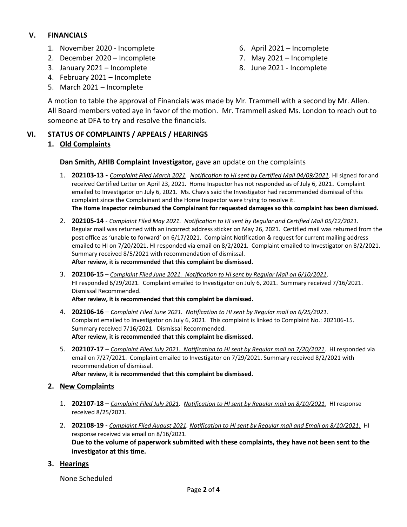### **V. FINANCIALS**

- 1. November 2020 Incomplete
- 2. December 2020 Incomplete
- 3. January 2021 Incomplete
- 4. February 2021 Incomplete
- 5. March 2021 Incomplete
- 6. April 2021 Incomplete
- 7. May 2021 Incomplete
- 8. June 2021 Incomplete

A motion to table the approval of Financials was made by Mr. Trammell with a second by Mr. Allen. All Board members voted aye in favor of the motion. Mr. Trammell asked Ms. London to reach out to someone at DFA to try and resolve the financials.

## **VI. STATUS OF COMPLAINTS / APPEALS / HEARINGS**

## **1. Old Complaints**

### **Dan Smith, AHIB Complaint Investigator,** gave an update on the complaints

- 1. **202103-13** *Complaint Filed March 2021. Notification to HI sent by Certified Mail 04/09/2021.* HI signed for and received Certified Letter on April 23, 2021. Home Inspector has not responded as of July 6, 2021**.** Complaint emailed to Investigator on July 6, 2021. Ms. Chavis said the Investigator had recommended dismissal of this complaint since the Complainant and the Home Inspector were trying to resolve it. **The Home Inspector reimbursed the Complainant for requested damages so this complaint has been dismissed.**
- 2. **202105-14** *Complaint Filed May 2021. Notification to HI sent by Regular and Certified Mail 05/12/2021.* Regular mail was returned with an incorrect address sticker on May 26, 2021. Certified mail was returned from the post office as 'unable to forward' on 6/17/2021. Complaint Notification & request for current mailing address emailed to HI on 7/20/2021. HI responded via email on 8/2/2021. Complaint emailed to Investigator on 8/2/2021. Summary received 8/5/2021 with recommendation of dismissal. **After review, it is recommended that this complaint be dismissed.**
- 3. **202106-15** *Complaint Filed June 2021. Notification to HI sent by Regular Mail on 6/10/2021*. HI responded 6/29/2021. Complaint emailed to Investigator on July 6, 2021. Summary received 7/16/2021. Dismissal Recommended. **After review, it is recommended that this complaint be dismissed.**
- 4. **202106-16** *Complaint Filed June 2021. Notification to HI sent by Regular mail on 6/25/2021*. Complaint emailed to Investigator on July 6, 2021. This complaint is linked to Complaint No.: 202106-15. Summary received 7/16/2021. Dismissal Recommended. **After review, it is recommended that this complaint be dismissed.**
- 5. **202107-17** *Complaint Filed July 2021. Notification to HI sent by Regular mail on 7/20/2021*. HI responded via email on 7/27/2021. Complaint emailed to Investigator on 7/29/2021. Summary received 8/2/2021 with recommendation of dismissal.

**After review, it is recommended that this complaint be dismissed.** 

### **2. New Complaints**

- 1. **202107-18** *Complaint Filed July 2021. Notification to HI sent by Regular mail on 8/10/2021.* HI response received 8/25/2021.
- 2. **202108-19 -** *Complaint Filed August 2021. Notification to HI sent by Regular mail and Email on 8/10/2021.* HI response received via email on 8/16/2021. **Due to the volume of paperwork submitted with these complaints, they have not been sent to the investigator at this time.**

### **3. Hearings**

None Scheduled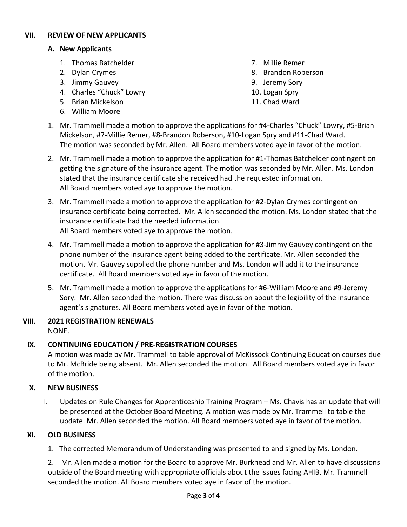### **VII. REVIEW OF NEW APPLICANTS**

### **A. New Applicants**

- 1. Thomas Batchelder
- 2. Dylan Crymes
- 3. Jimmy Gauvey
- 4. Charles "Chuck" Lowry
- 5. Brian Mickelson
- 6. William Moore
- 7. Millie Remer
- 8. Brandon Roberson
- 9. Jeremy Sory
- 10. Logan Spry
- 11. Chad Ward
- 1. Mr. Trammell made a motion to approve the applications for #4-Charles "Chuck" Lowry, #5-Brian Mickelson, #7-Millie Remer, #8-Brandon Roberson, #10-Logan Spry and #11-Chad Ward. The motion was seconded by Mr. Allen. All Board members voted aye in favor of the motion.
- 2. Mr. Trammell made a motion to approve the application for #1-Thomas Batchelder contingent on getting the signature of the insurance agent. The motion was seconded by Mr. Allen. Ms. London stated that the insurance certificate she received had the requested information. All Board members voted aye to approve the motion.
- 3. Mr. Trammell made a motion to approve the application for #2-Dylan Crymes contingent on insurance certificate being corrected. Mr. Allen seconded the motion. Ms. London stated that the insurance certificate had the needed information. All Board members voted aye to approve the motion.
- 4. Mr. Trammell made a motion to approve the application for #3-Jimmy Gauvey contingent on the phone number of the insurance agent being added to the certificate. Mr. Allen seconded the motion. Mr. Gauvey supplied the phone number and Ms. London will add it to the insurance certificate. All Board members voted aye in favor of the motion.
- 5. Mr. Trammell made a motion to approve the applications for #6-William Moore and #9-Jeremy Sory. Mr. Allen seconded the motion. There was discussion about the legibility of the insurance agent's signatures. All Board members voted aye in favor of the motion.

#### **VIII. 2021 REGISTRATION RENEWALS** NONE.

### **IX. CONTINUING EDUCATION / PRE-REGISTRATION COURSES**

A motion was made by Mr. Trammell to table approval of McKissock Continuing Education courses due to Mr. McBride being absent. Mr. Allen seconded the motion. All Board members voted aye in favor of the motion.

### **X. NEW BUSINESS**

I. Updates on Rule Changes for Apprenticeship Training Program – Ms. Chavis has an update that will be presented at the October Board Meeting. A motion was made by Mr. Trammell to table the update. Mr. Allen seconded the motion. All Board members voted aye in favor of the motion.

### **XI. OLD BUSINESS**

1. The corrected Memorandum of Understanding was presented to and signed by Ms. London.

2. Mr. Allen made a motion for the Board to approve Mr. Burkhead and Mr. Allen to have discussions outside of the Board meeting with appropriate officials about the issues facing AHIB. Mr. Trammell seconded the motion. All Board members voted aye in favor of the motion.